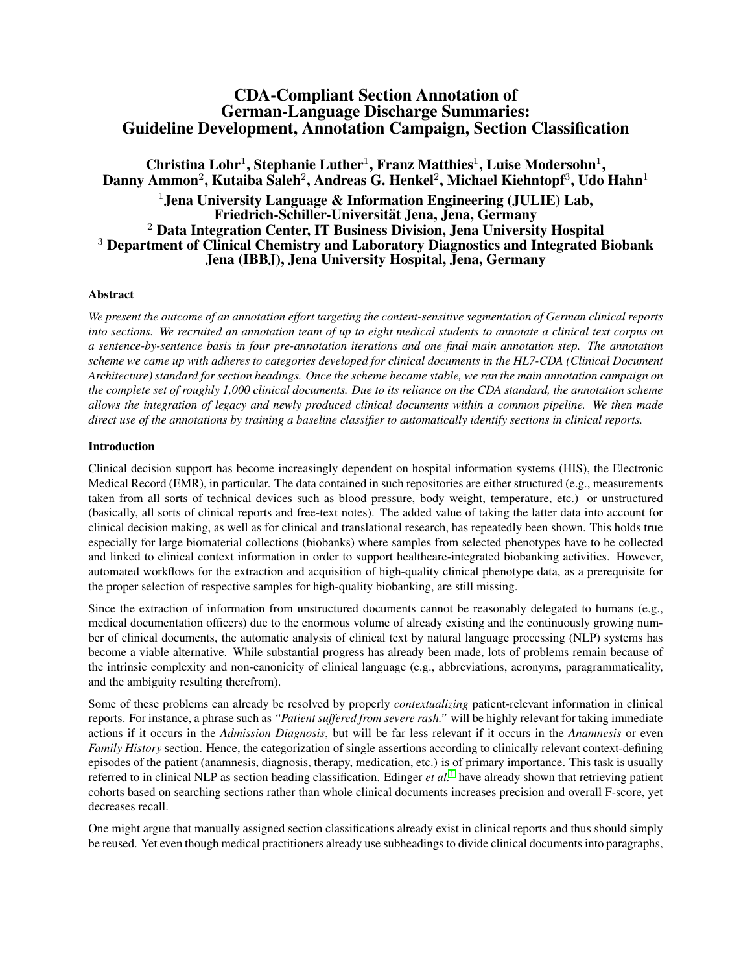# CDA-Compliant Section Annotation of German-Language Discharge Summaries: Guideline Development, Annotation Campaign, Section Classification

## Christina Lohr<sup>1</sup>, Stephanie Luther<sup>1</sup>, Franz Matthies<sup>1</sup>, Luise Modersohn<sup>1</sup>, Danny Ammon $^2$ , Kutaiba Saleh $^2$ , Andreas G. Henkel $^2$ , Michael Kiehntopf $^3$ , Udo Hahn $^1$ <sup>1</sup>. Jena University Language & Information Engineering (JULIE) Lab, Friedrich-Schiller-Universitat Jena, Jena, Germany ¨ <sup>2</sup> Data Integration Center, IT Business Division, Jena University Hospital <sup>3</sup> Department of Clinical Chemistry and Laboratory Diagnostics and Integrated Biobank Jena (IBBJ), Jena University Hospital, Jena, Germany

## Abstract

*We present the outcome of an annotation effort targeting the content-sensitive segmentation of German clinical reports into sections. We recruited an annotation team of up to eight medical students to annotate a clinical text corpus on a sentence-by-sentence basis in four pre-annotation iterations and one final main annotation step. The annotation scheme we came up with adheres to categories developed for clinical documents in the HL7-CDA (Clinical Document Architecture) standard for section headings. Once the scheme became stable, we ran the main annotation campaign on the complete set of roughly 1,000 clinical documents. Due to its reliance on the CDA standard, the annotation scheme allows the integration of legacy and newly produced clinical documents within a common pipeline. We then made direct use of the annotations by training a baseline classifier to automatically identify sections in clinical reports.*

## Introduction

Clinical decision support has become increasingly dependent on hospital information systems (HIS), the Electronic Medical Record (EMR), in particular. The data contained in such repositories are either structured (e.g., measurements taken from all sorts of technical devices such as blood pressure, body weight, temperature, etc.) or unstructured (basically, all sorts of clinical reports and free-text notes). The added value of taking the latter data into account for clinical decision making, as well as for clinical and translational research, has repeatedly been shown. This holds true especially for large biomaterial collections (biobanks) where samples from selected phenotypes have to be collected and linked to clinical context information in order to support healthcare-integrated biobanking activities. However, automated workflows for the extraction and acquisition of high-quality clinical phenotype data, as a prerequisite for the proper selection of respective samples for high-quality biobanking, are still missing.

Since the extraction of information from unstructured documents cannot be reasonably delegated to humans (e.g., medical documentation officers) due to the enormous volume of already existing and the continuously growing number of clinical documents, the automatic analysis of clinical text by natural language processing (NLP) systems has become a viable alternative. While substantial progress has already been made, lots of problems remain because of the intrinsic complexity and non-canonicity of clinical language (e.g., abbreviations, acronyms, paragrammaticality, and the ambiguity resulting therefrom).

Some of these problems can already be resolved by properly *contextualizing* patient-relevant information in clinical reports. For instance, a phrase such as *"Patient suffered from severe rash."* will be highly relevant for taking immediate actions if it occurs in the *Admission Diagnosis*, but will be far less relevant if it occurs in the *Anamnesis* or even *Family History* section. Hence, the categorization of single assertions according to clinically relevant context-defining episodes of the patient (anamnesis, diagnosis, therapy, medication, etc.) is of primary importance. This task is usually referred to in clinical NLP as section heading classification. Edinger *et al.*[1](#page-8-0) have already shown that retrieving patient cohorts based on searching sections rather than whole clinical documents increases precision and overall F-score, yet decreases recall.

One might argue that manually assigned section classifications already exist in clinical reports and thus should simply be reused. Yet even though medical practitioners already use subheadings to divide clinical documents into paragraphs,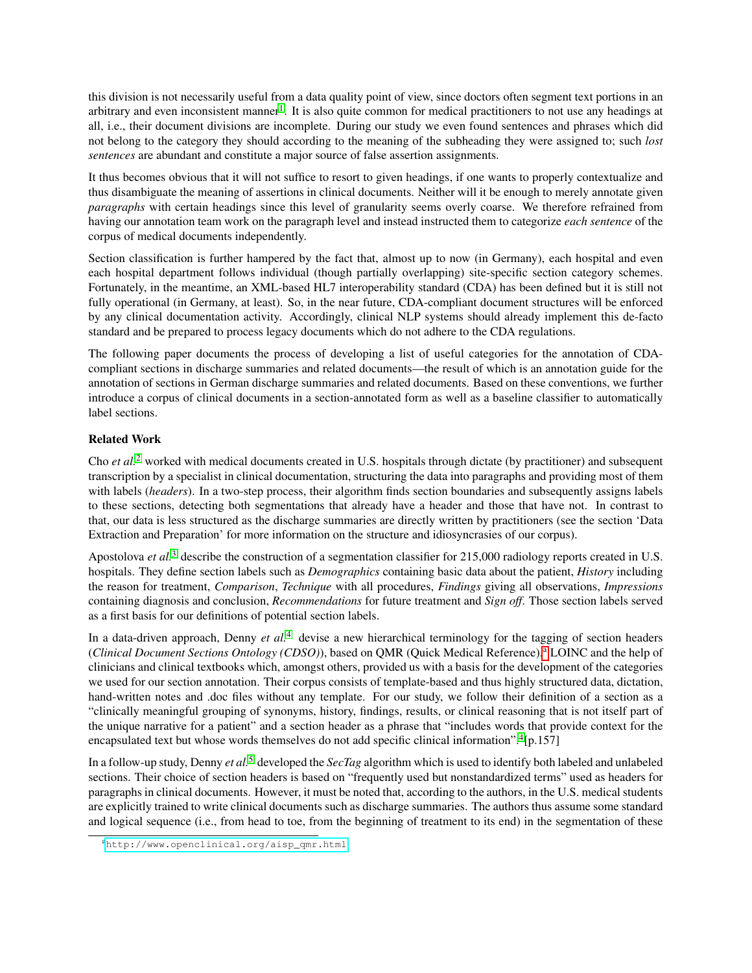this division is not necessarily useful from a data quality point of view, since doctors often segment text portions in an arbitrary and even inconsistent manner<sup>[1](#page-8-0)</sup>. It is also quite common for medical practitioners to not use any headings at all, i.e., their document divisions are incomplete. During our study we even found sentences and phrases which did not belong to the category they should according to the meaning of the subheading they were assigned to; such *lost sentences* are abundant and constitute a major source of false assertion assignments.

It thus becomes obvious that it will not suffice to resort to given headings, if one wants to properly contextualize and thus disambiguate the meaning of assertions in clinical documents. Neither will it be enough to merely annotate given *paragraphs* with certain headings since this level of granularity seems overly coarse. We therefore refrained from having our annotation team work on the paragraph level and instead instructed them to categorize *each sentence* of the corpus of medical documents independently.

Section classification is further hampered by the fact that, almost up to now (in Germany), each hospital and even each hospital department follows individual (though partially overlapping) site-specific section category schemes. Fortunately, in the meantime, an XML-based HL7 interoperability standard (CDA) has been defined but it is still not fully operational (in Germany, at least). So, in the near future, CDA-compliant document structures will be enforced by any clinical documentation activity. Accordingly, clinical NLP systems should already implement this de-facto standard and be prepared to process legacy documents which do not adhere to the CDA regulations.

The following paper documents the process of developing a list of useful categories for the annotation of CDAcompliant sections in discharge summaries and related documents—the result of which is an annotation guide for the annotation of sections in German discharge summaries and related documents. Based on these conventions, we further introduce a corpus of clinical documents in a section-annotated form as well as a baseline classifier to automatically label sections.

## Related Work

Cho *et al.*[2](#page-8-1) worked with medical documents created in U.S. hospitals through dictate (by practitioner) and subsequent transcription by a specialist in clinical documentation, structuring the data into paragraphs and providing most of them with labels (*headers*). In a two-step process, their algorithm finds section boundaries and subsequently assigns labels to these sections, detecting both segmentations that already have a header and those that have not. In contrast to that, our data is less structured as the discharge summaries are directly written by practitioners (see the section 'Data Extraction and Preparation' for more information on the structure and idiosyncrasies of our corpus).

Apostolova *et al.*<sup>[3](#page-8-2)</sup> describe the construction of a segmentation classifier for 215,000 radiology reports created in U.S. hospitals. They define section labels such as *Demographics* containing basic data about the patient, *History* including the reason for treatment, *Comparison*, *Technique* with all procedures, *Findings* giving all observations, *Impressions* containing diagnosis and conclusion, *Recommendations* for future treatment and *Sign off*. Those section labels served as a first basis for our definitions of potential section labels.

In a data-driven approach, Denny *et al.*[4](#page-8-3) devise a new hierarchical terminology for the tagging of section headers (*Clinic[a](#page-1-0)l Document Sections Ontology (CDSO)*), based on QMR (Quick Medical Reference),<sup>a</sup> LOINC and the help of clinicians and clinical textbooks which, amongst others, provided us with a basis for the development of the categories we used for our section annotation. Their corpus consists of template-based and thus highly structured data, dictation, hand-written notes and .doc files without any template. For our study, we follow their definition of a section as a "clinically meaningful grouping of synonyms, history, findings, results, or clinical reasoning that is not itself part of the unique narrative for a patient" and a section header as a phrase that "includes words that provide context for the encapsulated text but whose words themselves do not add specific clinical information".<sup>[4](#page-8-3)</sup>[p.157]

In a follow-up study, Denny *et al.*[5](#page-9-0) developed the *SecTag* algorithm which is used to identify both labeled and unlabeled sections. Their choice of section headers is based on "frequently used but nonstandardized terms" used as headers for paragraphs in clinical documents. However, it must be noted that, according to the authors, in the U.S. medical students are explicitly trained to write clinical documents such as discharge summaries. The authors thus assume some standard and logical sequence (i.e., from head to toe, from the beginning of treatment to its end) in the segmentation of these

<span id="page-1-0"></span>a[http://www.openclinical.org/aisp\\_qmr.html](http://www.openclinical.org/aisp_qmr.html)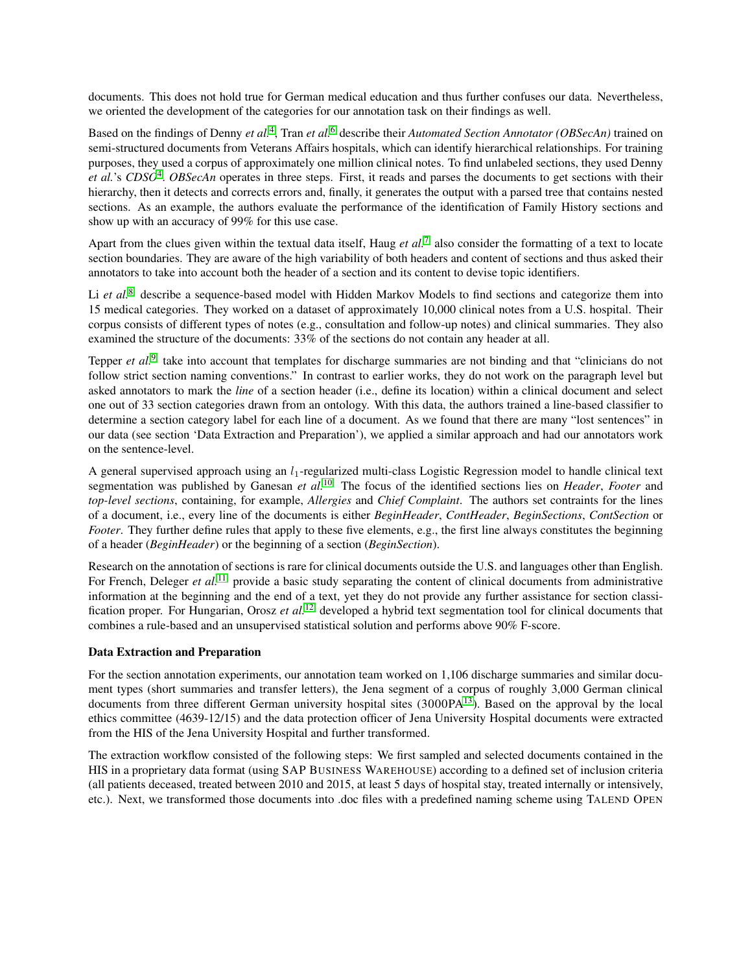documents. This does not hold true for German medical education and thus further confuses our data. Nevertheless, we oriented the development of the categories for our annotation task on their findings as well.

Based on the findings of Denny *et al.*[4](#page-8-3) , Tran *et al.*[6](#page-9-1) describe their *Automated Section Annotator (OBSecAn)* trained on semi-structured documents from Veterans Affairs hospitals, which can identify hierarchical relationships. For training purposes, they used a corpus of approximately one million clinical notes. To find unlabeled sections, they used Denny et al.'s CDSO<sup>[4](#page-8-3)</sup>. OBSecAn operates in three steps. First, it reads and parses the documents to get sections with their hierarchy, then it detects and corrects errors and, finally, it generates the output with a parsed tree that contains nested sections. As an example, the authors evaluate the performance of the identification of Family History sections and show up with an accuracy of 99% for this use case.

Apart from the clues given within the textual data itself, Haug *et al.*[7](#page-9-2) also consider the formatting of a text to locate section boundaries. They are aware of the high variability of both headers and content of sections and thus asked their annotators to take into account both the header of a section and its content to devise topic identifiers.

Li *et al.*<sup>[8](#page-9-3)</sup> describe a sequence-based model with Hidden Markov Models to find sections and categorize them into 15 medical categories. They worked on a dataset of approximately 10,000 clinical notes from a U.S. hospital. Their corpus consists of different types of notes (e.g., consultation and follow-up notes) and clinical summaries. They also examined the structure of the documents: 33% of the sections do not contain any header at all.

Tepper *et al.*<sup>[9](#page-9-4)</sup> take into account that templates for discharge summaries are not binding and that "clinicians do not follow strict section naming conventions." In contrast to earlier works, they do not work on the paragraph level but asked annotators to mark the *line* of a section header (i.e., define its location) within a clinical document and select one out of 33 section categories drawn from an ontology. With this data, the authors trained a line-based classifier to determine a section category label for each line of a document. As we found that there are many "lost sentences" in our data (see section 'Data Extraction and Preparation'), we applied a similar approach and had our annotators work on the sentence-level.

A general supervised approach using an  $l_1$ -regularized multi-class Logistic Regression model to handle clinical text segmentation was published by Ganesan *et al.*[10](#page-9-5) The focus of the identified sections lies on *Header*, *Footer* and *top-level sections*, containing, for example, *Allergies* and *Chief Complaint*. The authors set contraints for the lines of a document, i.e., every line of the documents is either *BeginHeader*, *ContHeader*, *BeginSections*, *ContSection* or *Footer*. They further define rules that apply to these five elements, e.g., the first line always constitutes the beginning of a header (*BeginHeader*) or the beginning of a section (*BeginSection*).

Research on the annotation of sections is rare for clinical documents outside the U.S. and languages other than English. For French, Deleger *et al.*<sup>[11](#page-9-6)</sup> provide a basic study separating the content of clinical documents from administrative information at the beginning and the end of a text, yet they do not provide any further assistance for section classification proper. For Hungarian, Orosz *et al.*[12](#page-9-7) developed a hybrid text segmentation tool for clinical documents that combines a rule-based and an unsupervised statistical solution and performs above 90% F-score.

#### Data Extraction and Preparation

For the section annotation experiments, our annotation team worked on 1,106 discharge summaries and similar document types (short summaries and transfer letters), the Jena segment of a corpus of roughly 3,000 German clinical documents from three different German university hospital sites (3000PA<sup>[13](#page-9-8)</sup>). Based on the approval by the local ethics committee (4639-12/15) and the data protection officer of Jena University Hospital documents were extracted from the HIS of the Jena University Hospital and further transformed.

The extraction workflow consisted of the following steps: We first sampled and selected documents contained in the HIS in a proprietary data format (using SAP BUSINESS WAREHOUSE) according to a defined set of inclusion criteria (all patients deceased, treated between 2010 and 2015, at least 5 days of hospital stay, treated internally or intensively, etc.). Next, we transformed those documents into .doc files with a predefined naming scheme using TALEND OPEN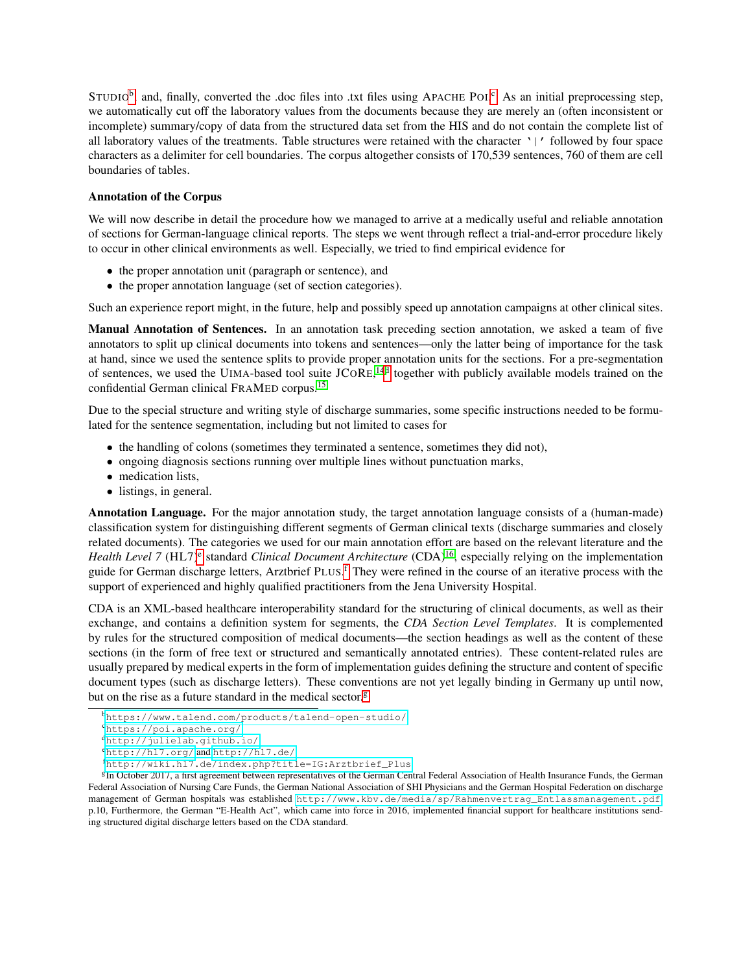STUDIO<sup>[b](#page-3-0)</sup>, and, finally, [c](#page-3-1)onverted the .doc files into .txt files using APACHE POI.<sup>c</sup> As an initial preprocessing step, we automatically cut off the laboratory values from the documents because they are merely an (often inconsistent or incomplete) summary/copy of data from the structured data set from the HIS and do not contain the complete list of all laboratory values of the treatments. Table structures were retained with the character '|' followed by four space characters as a delimiter for cell boundaries. The corpus altogether consists of 170,539 sentences, 760 of them are cell boundaries of tables.

#### Annotation of the Corpus

We will now describe in detail the procedure how we managed to arrive at a medically useful and reliable annotation of sections for German-language clinical reports. The steps we went through reflect a trial-and-error procedure likely to occur in other clinical environments as well. Especially, we tried to find empirical evidence for

- the proper annotation unit (paragraph or sentence), and
- the proper annotation language (set of section categories).

Such an experience report might, in the future, help and possibly speed up annotation campaigns at other clinical sites.

Manual Annotation of Sentences. In an annotation task preceding section annotation, we asked a team of five annotators to split up clinical documents into tokens and sentences—only the latter being of importance for the task at hand, since we used the sentence splits to provide proper annotation units for the sections. For a pre-segmentation of sentences, we used the UIMA-based tool suite JCORE,<sup>[14](#page-9-9)[d](#page-3-2)</sup> together with publicly available models trained on the confidential German clinical FRAMED corpus.[15](#page-9-10)

Due to the special structure and writing style of discharge summaries, some specific instructions needed to be formulated for the sentence segmentation, including but not limited to cases for

- the handling of colons (sometimes they terminated a sentence, sometimes they did not),
- ongoing diagnosis sections running over multiple lines without punctuation marks,
- medication lists,
- listings, in general.

Annotation Language. For the major annotation study, the target annotation language consists of a (human-made) classification system for distinguishing different segments of German clinical texts (discharge summaries and closely related documents). The categories we used for our main annotation effort are based on the relevant literature and the *H[e](#page-3-3)alth Level* 7 (HL7)<sup>e</sup> standard *Clinical Document Architecture* (CDA)<sup>[16](#page-9-11)</sup>, especially relying on the implementation guide [f](#page-3-4)or German discharge letters, Arztbrief PLUS.<sup>f</sup> They were refined in the course of an iterative process with the support of experienced and highly qualified practitioners from the Jena University Hospital.

CDA is an XML-based healthcare interoperability standard for the structuring of clinical documents, as well as their exchange, and contains a definition system for segments, the *CDA Section Level Templates*. It is complemented by rules for the structured composition of medical documents—the section headings as well as the content of these sections (in the form of free text or structured and semantically annotated entries). These content-related rules are usually prepared by medical experts in the form of implementation guides defining the structure and content of specific document types (such as discharge letters). These conventions are not yet legally binding in Germany up until now, but on the rise as a future standard in the medical sector. $g$ 

<span id="page-3-0"></span><sup>b</sup><https://www.talend.com/products/talend-open-studio/>

<span id="page-3-1"></span><sup>c</sup><https://poi.apache.org/>

<span id="page-3-2"></span><sup>d</sup><http://julielab.github.io/>

<span id="page-3-3"></span><sup>e</sup><http://hl7.org/> and <http://hl7.de/>

<span id="page-3-5"></span><span id="page-3-4"></span><sup>f</sup>[http://wiki.hl7.de/index.php?title=IG:Arztbrief\\_Plus](http://wiki.hl7.de/index.php?title=IG:Arztbrief_Plus)

<sup>&</sup>lt;sup>g</sup>In October 2017, a first agreement between representatives of the German Central Federal Association of Health Insurance Funds, the German Federal Association of Nursing Care Funds, the German National Association of SHI Physicians and the German Hospital Federation on discharge management of German hospitals was established [http://www.kbv.de/media/sp/Rahmenvertrag\\_Entlassmanagement.pdf](http://www.kbv.de/media/sp/Rahmenvertrag_Entlassmanagement.pdf), p.10, Furthermore, the German "E-Health Act", which came into force in 2016, implemented financial support for healthcare institutions sending structured digital discharge letters based on the CDA standard.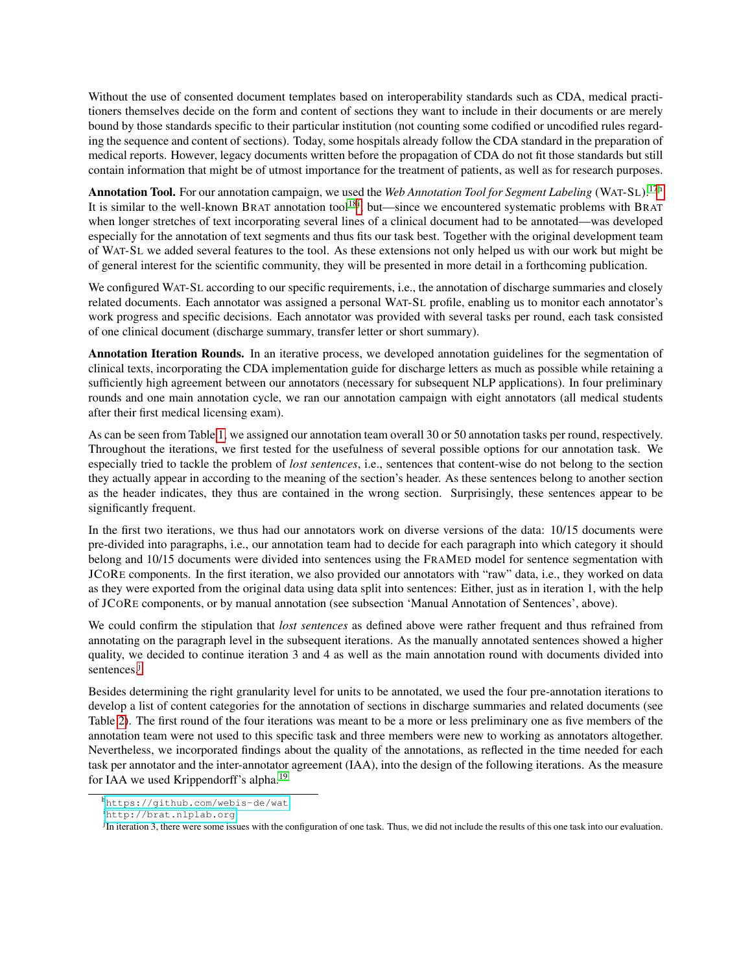Without the use of consented document templates based on interoperability standards such as CDA, medical practitioners themselves decide on the form and content of sections they want to include in their documents or are merely bound by those standards specific to their particular institution (not counting some codified or uncodified rules regarding the sequence and content of sections). Today, some hospitals already follow the CDA standard in the preparation of medical reports. However, legacy documents written before the propagation of CDA do not fit those standards but still contain information that might be of utmost importance for the treatment of patients, as well as for research purposes.

Annotation Tool. For our annotation campaign, we used t[h](#page-4-0)e *Web Annotation Tool for Segment Labeling* (WAT-SL).<sup>[17](#page-9-12)h</sup> It is similar to the well-known BRAT annotation tool<sup>[18](#page-9-13)[i](#page-4-1)</sup>, but—since we encountered systematic problems with BRAT when longer stretches of text incorporating several lines of a clinical document had to be annotated—was developed especially for the annotation of text segments and thus fits our task best. Together with the original development team of WAT-SL we added several features to the tool. As these extensions not only helped us with our work but might be of general interest for the scientific community, they will be presented in more detail in a forthcoming publication.

We configured WAT-SL according to our specific requirements, i.e., the annotation of discharge summaries and closely related documents. Each annotator was assigned a personal WAT-SL profile, enabling us to monitor each annotator's work progress and specific decisions. Each annotator was provided with several tasks per round, each task consisted of one clinical document (discharge summary, transfer letter or short summary).

Annotation Iteration Rounds. In an iterative process, we developed annotation guidelines for the segmentation of clinical texts, incorporating the CDA implementation guide for discharge letters as much as possible while retaining a sufficiently high agreement between our annotators (necessary for subsequent NLP applications). In four preliminary rounds and one main annotation cycle, we ran our annotation campaign with eight annotators (all medical students after their first medical licensing exam).

As can be seen from Table [1,](#page-5-0) we assigned our annotation team overall 30 or 50 annotation tasks per round, respectively. Throughout the iterations, we first tested for the usefulness of several possible options for our annotation task. We especially tried to tackle the problem of *lost sentences*, i.e., sentences that content-wise do not belong to the section they actually appear in according to the meaning of the section's header. As these sentences belong to another section as the header indicates, they thus are contained in the wrong section. Surprisingly, these sentences appear to be significantly frequent.

In the first two iterations, we thus had our annotators work on diverse versions of the data: 10/15 documents were pre-divided into paragraphs, i.e., our annotation team had to decide for each paragraph into which category it should belong and 10/15 documents were divided into sentences using the FRAMED model for sentence segmentation with JCORE components. In the first iteration, we also provided our annotators with "raw" data, i.e., they worked on data as they were exported from the original data using data split into sentences: Either, just as in iteration 1, with the help of JCORE components, or by manual annotation (see subsection 'Manual Annotation of Sentences', above).

We could confirm the stipulation that *lost sentences* as defined above were rather frequent and thus refrained from annotating on the paragraph level in the subsequent iterations. As the manually annotated sentences showed a higher quality, we decided to continue iteration 3 and 4 as well as the main annotation round with documents divided into sentences.<sup>[j](#page-4-2)</sup>

Besides determining the right granularity level for units to be annotated, we used the four pre-annotation iterations to develop a list of content categories for the annotation of sections in discharge summaries and related documents (see Table [2\)](#page-5-1). The first round of the four iterations was meant to be a more or less preliminary one as five members of the annotation team were not used to this specific task and three members were new to working as annotators altogether. Nevertheless, we incorporated findings about the quality of the annotations, as reflected in the time needed for each task per annotator and the inter-annotator agreement (IAA), into the design of the following iterations. As the measure for IAA we used Krippendorff's alpha.<sup>[19](#page-9-14)</sup>

<span id="page-4-0"></span><sup>h</sup><https://github.com/webis-de/wat>

<span id="page-4-1"></span><sup>i</sup><http://brat.nlplab.org>

<span id="page-4-2"></span>j In iteration 3, there were some issues with the configuration of one task. Thus, we did not include the results of this one task into our evaluation.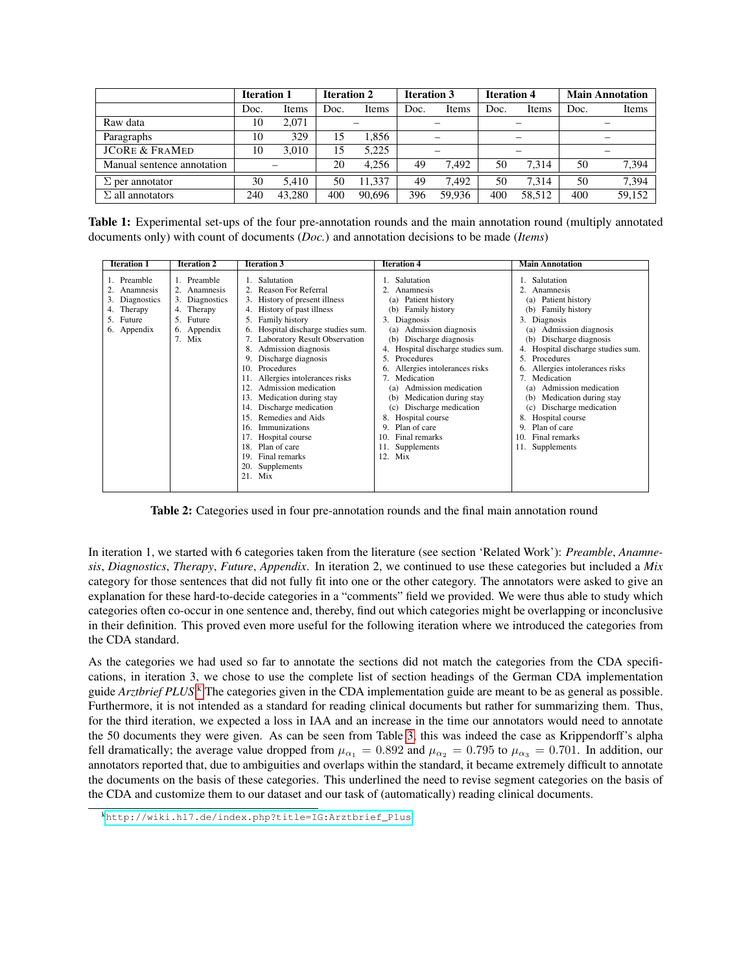<span id="page-5-0"></span>

|                            | <b>Iteration 1</b> |        | <b>Iteration 2</b> |        | <b>Iteration 3</b>       |        | <b>Iteration 4</b>       |        | <b>Main Annotation</b>   |        |  |
|----------------------------|--------------------|--------|--------------------|--------|--------------------------|--------|--------------------------|--------|--------------------------|--------|--|
|                            | Doc.               | Items  | Doc.               | Items  | Doc.                     | Items  | Doc.                     | Items  | Doc.                     | Items  |  |
| Raw data                   | 10                 | 2.071  |                    |        |                          |        |                          |        |                          |        |  |
| Paragraphs                 | 10                 | 329    | 15                 | .856   |                          |        |                          |        |                          |        |  |
| <b>JCORE &amp; FRAMED</b>  | 10                 | 3.010  | 15                 | 5.225  | $\overline{\phantom{0}}$ |        | $\overline{\phantom{0}}$ |        | $\overline{\phantom{0}}$ |        |  |
| Manual sentence annotation |                    |        | 20                 | 4.256  | 49                       | 7.492  | 50                       | 7.314  | 50                       | 7,394  |  |
| $\Sigma$ per annotator     | 30                 | 5.410  | 50                 | 11.337 | 49                       | 7.492  | 50                       | 7.314  | 50                       | 7,394  |  |
| $\Sigma$ all annotators    | 240                | 43.280 | 400                | 90.696 | 396                      | 59.936 | 400                      | 58.512 | 400                      | 59,152 |  |

Table 1: Experimental set-ups of the four pre-annotation rounds and the main annotation round (multiply annotated documents only) with count of documents (*Doc.*) and annotation decisions to be made (*Items*)

<span id="page-5-1"></span>

| <b>Iteration 1</b><br><b>Iteration 2</b>                                                |                                                                                                   | <b>Iteration 3</b>                                                                                                                                                                                                                                                                                                                                                                                                                                                                                                                                                                   | <b>Iteration 4</b>                                                                                                                                                                                                                                                                                                                                                                                                                                            | <b>Main Annotation</b>                                                                                                                                                                                                                                                                                                                                                                                                                         |  |  |
|-----------------------------------------------------------------------------------------|---------------------------------------------------------------------------------------------------|--------------------------------------------------------------------------------------------------------------------------------------------------------------------------------------------------------------------------------------------------------------------------------------------------------------------------------------------------------------------------------------------------------------------------------------------------------------------------------------------------------------------------------------------------------------------------------------|---------------------------------------------------------------------------------------------------------------------------------------------------------------------------------------------------------------------------------------------------------------------------------------------------------------------------------------------------------------------------------------------------------------------------------------------------------------|------------------------------------------------------------------------------------------------------------------------------------------------------------------------------------------------------------------------------------------------------------------------------------------------------------------------------------------------------------------------------------------------------------------------------------------------|--|--|
| 1. Preamble<br>2. Anamnesis<br>3. Diagnostics<br>4. Therapy<br>5. Future<br>6. Appendix | 1. Preamble<br>2. Anamnesis<br>3. Diagnostics<br>4. Therapy<br>5. Future<br>6. Appendix<br>7. Mix | 1. Salutation<br>2. Reason For Referral<br>3. History of present illness<br>4. History of past illness<br>5. Family history<br>6. Hospital discharge studies sum.<br>7. Laboratory Result Observation<br>8. Admission diagnosis<br>9. Discharge diagnosis<br>Procedures<br>10.<br>11. Allergies intolerances risks<br>Admission medication<br>12 <sub>1</sub><br>13. Medication during stay<br>Discharge medication<br>14.<br>Remedies and Aids<br>15.<br>Immunizations<br>16.<br>17. Hospital course<br>18. Plan of care<br>Final remarks<br>19.<br>Supplements<br>20.<br>$21.$ Mix | . Salutation<br>Anamnesis<br>(a) Patient history<br>(b) Family history<br>3. Diagnosis<br>(a) Admission diagnosis<br>Discharge diagnosis<br>(b)<br>4. Hospital discharge studies sum.<br>Procedures<br>Allergies intolerances risks<br>6.<br>Medication<br>Admission medication<br>(a)<br>Medication during stay<br>(b)<br>Discharge medication<br>(c)<br>Hospital course<br>8.<br>Plan of care<br>9<br>Final remarks<br>10.<br>11. Supplements<br>Mix<br>12. | Salutation<br>Anamnesis<br>(a) Patient history<br>(b) Family history<br>3. Diagnosis<br>(a) Admission diagnosis<br>Discharge diagnosis<br>(b)<br>Hospital discharge studies sum.<br>4.<br>Procedures<br>5.<br>6. Allergies intolerances risks<br>7. Medication<br>Admission medication<br>(a)<br>Medication during stay<br>(b)<br>(c) Discharge medication<br>8. Hospital course<br>9. Plan of care<br>Final remarks<br>10.<br>11. Supplements |  |  |

Table 2: Categories used in four pre-annotation rounds and the final main annotation round

In iteration 1, we started with 6 categories taken from the literature (see section 'Related Work'): *Preamble*, *Anamnesis*, *Diagnostics*, *Therapy*, *Future*, *Appendix*. In iteration 2, we continued to use these categories but included a *Mix* category for those sentences that did not fully fit into one or the other category. The annotators were asked to give an explanation for these hard-to-decide categories in a "comments" field we provided. We were thus able to study which categories often co-occur in one sentence and, thereby, find out which categories might be overlapping or inconclusive in their definition. This proved even more useful for the following iteration where we introduced the categories from the CDA standard.

As the categories we had used so far to annotate the sections did not match the categories from the CDA specifications, in iteration 3, we chose to use the complete list of section headings of the German CDA implementation guide *Arztbrief PLUS*.<sup>[k](#page-5-2)</sup> The categories given in the CDA implementation guide are meant to be as general as possible. Furthermore, it is not intended as a standard for reading clinical documents but rather for summarizing them. Thus, for the third iteration, we expected a loss in IAA and an increase in the time our annotators would need to annotate the 50 documents they were given. As can be seen from Table [3,](#page-6-0) this was indeed the case as Krippendorff's alpha fell dramatically; the average value dropped from  $\mu_{\alpha_1} = 0.892$  and  $\mu_{\alpha_2} = 0.795$  to  $\mu_{\alpha_3} = 0.701$ . In addition, our annotators reported that, due to ambiguities and overlaps within the standard, it became extremely difficult to annotate the documents on the basis of these categories. This underlined the need to revise segment categories on the basis of the CDA and customize them to our dataset and our task of (automatically) reading clinical documents.

<span id="page-5-2"></span><sup>k</sup>[http://wiki.hl7.de/index.php?title=IG:Arztbrief\\_Plus](http://wiki.hl7.de/index.php?title=IG:Arztbrief_Plus)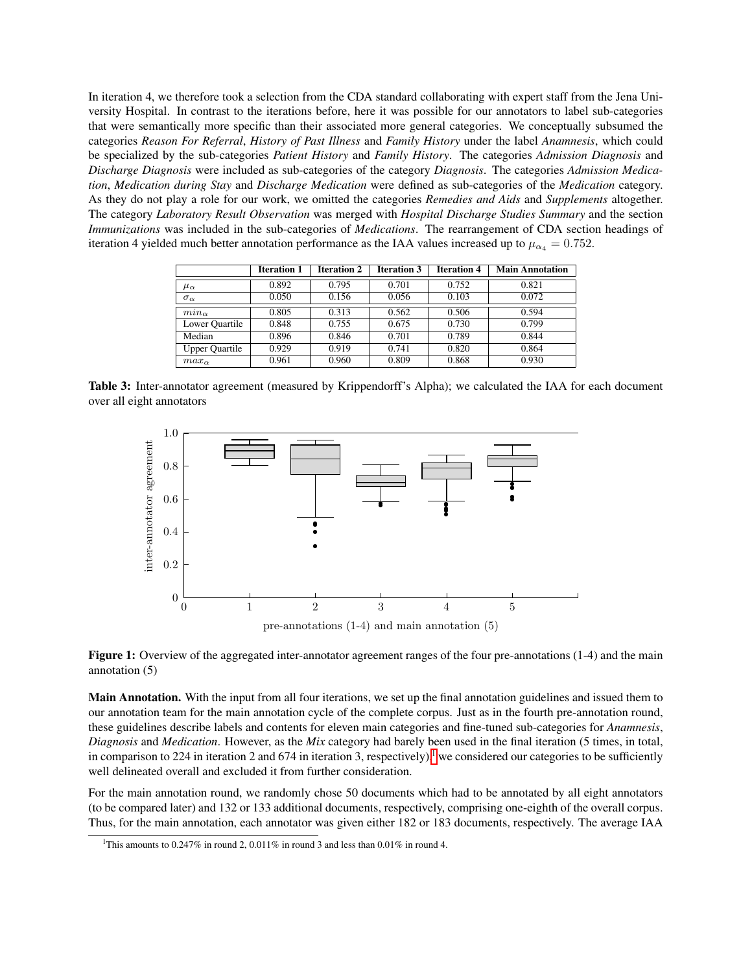In iteration 4, we therefore took a selection from the CDA standard collaborating with expert staff from the Jena University Hospital. In contrast to the iterations before, here it was possible for our annotators to label sub-categories that were semantically more specific than their associated more general categories. We conceptually subsumed the categories *Reason For Referral*, *History of Past Illness* and *Family History* under the label *Anamnesis*, which could be specialized by the sub-categories *Patient History* and *Family History*. The categories *Admission Diagnosis* and *Discharge Diagnosis* were included as sub-categories of the category *Diagnosis*. The categories *Admission Medication*, *Medication during Stay* and *Discharge Medication* were defined as sub-categories of the *Medication* category. As they do not play a role for our work, we omitted the categories *Remedies and Aids* and *Supplements* altogether. The category *Laboratory Result Observation* was merged with *Hospital Discharge Studies Summary* and the section *Immunizations* was included in the sub-categories of *Medications*. The rearrangement of CDA section headings of iteration 4 yielded much better annotation performance as the IAA values increased up to  $\mu_{\alpha_4} = 0.752$ .

<span id="page-6-0"></span>

|                       | <b>Iteration 1</b> | <b>Iteration 2</b> | <b>Iteration 3</b> | <b>Iteration 4</b> | <b>Main Annotation</b> |
|-----------------------|--------------------|--------------------|--------------------|--------------------|------------------------|
| $\mu_{\alpha}$        | 0.892              | 0.795              | 0.701              | 0.752              | 0.821                  |
| $\sigma_{\alpha}$     | 0.050              | 0.156              | 0.056              | 0.103              | 0.072                  |
| $min_{\alpha}$        | 0.805              | 0.313              | 0.562              | 0.506              | 0.594                  |
| Lower Quartile        | 0.848              | 0.755              | 0.675              | 0.730              | 0.799                  |
| Median                | 0.896              | 0.846              | 0.701              | 0.789              | 0.844                  |
| <b>Upper Quartile</b> | 0.929              | 0.919              | 0.741              | 0.820              | 0.864                  |
| $max_{\alpha}$        | 0.961              | 0.960              | 0.809              | 0.868              | 0.930                  |

Table 3: Inter-annotator agreement (measured by Krippendorff's Alpha); we calculated the IAA for each document over all eight annotators



pre-annotations (1-4) and main annotation (5)

Figure 1: Overview of the aggregated inter-annotator agreement ranges of the four pre-annotations (1-4) and the main annotation (5)

Main Annotation. With the input from all four iterations, we set up the final annotation guidelines and issued them to our annotation team for the main annotation cycle of the complete corpus. Just as in the fourth pre-annotation round, these guidelines describe labels and contents for eleven main categories and fine-tuned sub-categories for *Anamnesis*, *Diagnosis* and *Medication*. However, as the *Mix* category had barely been used in the final iteration (5 times, in total, in comparison to 224 in iteration 2 and 674 in iteration 3, respective[l](#page-6-1)y),<sup>1</sup> we considered our categories to be sufficiently well delineated overall and excluded it from further consideration.

For the main annotation round, we randomly chose 50 documents which had to be annotated by all eight annotators (to be compared later) and 132 or 133 additional documents, respectively, comprising one-eighth of the overall corpus. Thus, for the main annotation, each annotator was given either 182 or 183 documents, respectively. The average IAA

<span id="page-6-1"></span><sup>&</sup>lt;sup>1</sup>This amounts to 0.247% in round 2, 0.011% in round 3 and less than 0.01% in round 4.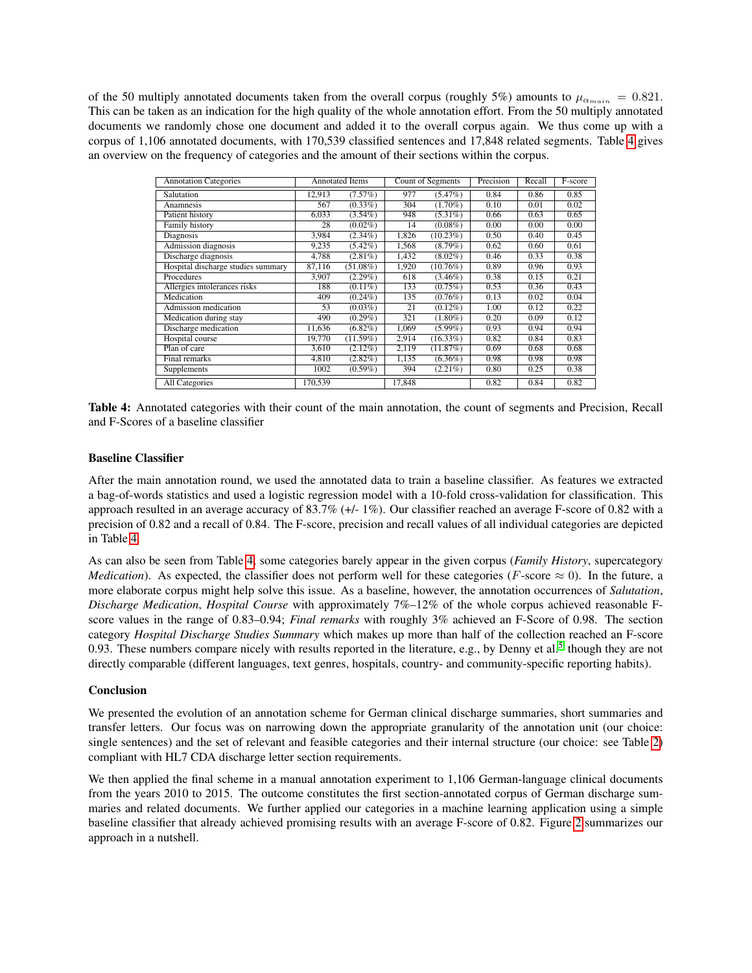of the 50 multiply annotated documents taken from the overall corpus (roughly 5%) amounts to  $\mu_{\alpha_{main}} = 0.821$ . This can be taken as an indication for the high quality of the whole annotation effort. From the 50 multiply annotated documents we randomly chose one document and added it to the overall corpus again. We thus come up with a corpus of 1,106 annotated documents, with 170,539 classified sentences and 17,848 related segments. Table [4](#page-7-0) gives an overview on the frequency of categories and the amount of their sections within the corpus.

<span id="page-7-0"></span>

| <b>Annotation Categories</b>       | <b>Annotated Items</b> |             |        | Count of Segments | Precision | Recall | F-score |
|------------------------------------|------------------------|-------------|--------|-------------------|-----------|--------|---------|
| Salutation                         | 12,913                 | (7.57%)     | 977    | $(5.47\%)$        | 0.84      | 0.86   | 0.85    |
| Anamnesis                          | 567                    | $(0.33\%)$  | 304    | $(1.70\%)$        | 0.10      | 0.01   | 0.02    |
| Patient history                    | 6.033                  | $(3.54\%)$  | 948    | $(5.31\%)$        | 0.66      | 0.63   | 0.65    |
| Family history                     | 28                     | $(0.02\%)$  | 14     | $(0.08\%)$        | 0.00      | 0.00   | 0.00    |
| Diagnosis                          | 3,984                  | $(2.34\%)$  | 1,826  | (10.23%)          | 0.50      | 0.40   | 0.45    |
| Admission diagnosis                | 9,235                  | $(5.42\%)$  | 1,568  | $(8.79\%)$        | 0.62      | 0.60   | 0.61    |
| Discharge diagnosis                | 4,788                  | $(2.81\%)$  | 1,432  | $(8.02\%)$        | 0.46      | 0.33   | 0.38    |
| Hospital discharge studies summary | 87,116                 | $(51.08\%)$ | 1,920  | $(10.76\%)$       | 0.89      | 0.96   | 0.93    |
| Procedures                         | 3,907                  | $(2.29\%)$  | 618    | $(3.46\%)$        | 0.38      | 0.15   | 0.21    |
| Allergies intolerances risks       | 188                    | $(0.11\%)$  | 133    | $(0.75\%)$        | 0.53      | 0.36   | 0.43    |
| Medication                         | 409                    | $(0.24\%)$  | 135    | $(0.76\%)$        | 0.13      | 0.02   | 0.04    |
| Admission medication               | 53                     | $(0.03\%)$  | 21     | $(0.12\%)$        | 1.00      | 0.12   | 0.22    |
| Medication during stay             | 490                    | $(0.29\%)$  | 321    | $(1.80\%)$        | 0.20      | 0.09   | 0.12    |
| Discharge medication               | 11,636                 | $(6.82\%)$  | 1,069  | $(5.99\%)$        | 0.93      | 0.94   | 0.94    |
| Hospital course                    | 19.770                 | $(11.59\%)$ | 2,914  | (16.33%)          | 0.82      | 0.84   | 0.83    |
| Plan of care                       | 3,610                  | $(2.12\%)$  | 2,119  | (11.87%)          | 0.69      | 0.68   | 0.68    |
| Final remarks                      | 4.810                  | $(2.82\%)$  | 1,135  | $(6.36\%)$        | 0.98      | 0.98   | 0.98    |
| Supplements                        | 1002                   | $(0.59\%)$  | 394    | $(2.21\%)$        | 0.80      | 0.25   | 0.38    |
| <b>All Categories</b>              | 170.539                |             | 17.848 |                   | 0.82      | 0.84   | 0.82    |

Table 4: Annotated categories with their count of the main annotation, the count of segments and Precision, Recall and F-Scores of a baseline classifier

#### Baseline Classifier

After the main annotation round, we used the annotated data to train a baseline classifier. As features we extracted a bag-of-words statistics and used a logistic regression model with a 10-fold cross-validation for classification. This approach resulted in an average accuracy of 83.7% (+/- 1%). Our classifier reached an average F-score of 0.82 with a precision of 0.82 and a recall of 0.84. The F-score, precision and recall values of all individual categories are depicted in Table [4.](#page-7-0)

As can also be seen from Table [4,](#page-7-0) some categories barely appear in the given corpus (*Family History*, supercategory *Medication*). As expected, the classifier does not perform well for these categories (F-score  $\approx$  0). In the future, a more elaborate corpus might help solve this issue. As a baseline, however, the annotation occurrences of *Salutation*, *Discharge Medication*, *Hospital Course* with approximately 7%–12% of the whole corpus achieved reasonable Fscore values in the range of 0.83–0.94; *Final remarks* with roughly 3% achieved an F-Score of 0.98. The section category *Hospital Discharge Studies Summary* which makes up more than half of the collection reached an F-score 0.93. These numbers compare nicely with results reported in the literature, e.g., by Denny et al.<sup>[5](#page-9-0)</sup> though they are not directly comparable (different languages, text genres, hospitals, country- and community-specific reporting habits).

#### **Conclusion**

We presented the evolution of an annotation scheme for German clinical discharge summaries, short summaries and transfer letters. Our focus was on narrowing down the appropriate granularity of the annotation unit (our choice: single sentences) and the set of relevant and feasible categories and their internal structure (our choice: see Table [2\)](#page-5-1) compliant with HL7 CDA discharge letter section requirements.

We then applied the final scheme in a manual annotation experiment to 1,106 German-language clinical documents from the years 2010 to 2015. The outcome constitutes the first section-annotated corpus of German discharge summaries and related documents. We further applied our categories in a machine learning application using a simple baseline classifier that already achieved promising results with an average F-score of 0.82. Figure [2](#page-8-4) summarizes our approach in a nutshell.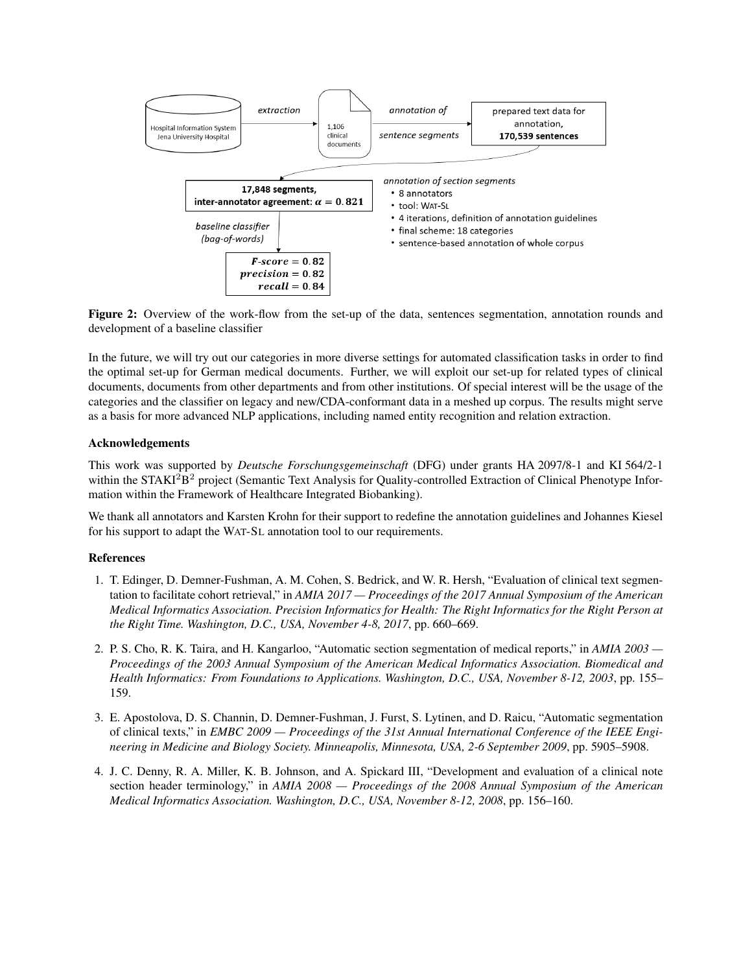<span id="page-8-4"></span>

Figure 2: Overview of the work-flow from the set-up of the data, sentences segmentation, annotation rounds and development of a baseline classifier

In the future, we will try out our categories in more diverse settings for automated classification tasks in order to find the optimal set-up for German medical documents. Further, we will exploit our set-up for related types of clinical documents, documents from other departments and from other institutions. Of special interest will be the usage of the categories and the classifier on legacy and new/CDA-conformant data in a meshed up corpus. The results might serve as a basis for more advanced NLP applications, including named entity recognition and relation extraction.

#### Acknowledgements

This work was supported by *Deutsche Forschungsgemeinschaft* (DFG) under grants HA 2097/8-1 and KI 564/2-1 within the STAKI<sup>2</sup>B<sup>2</sup> project (Semantic Text Analysis for Quality-controlled Extraction of Clinical Phenotype Information within the Framework of Healthcare Integrated Biobanking).

We thank all annotators and Karsten Krohn for their support to redefine the annotation guidelines and Johannes Kiesel for his support to adapt the WAT-SL annotation tool to our requirements.

#### References

- <span id="page-8-0"></span>1. T. Edinger, D. Demner-Fushman, A. M. Cohen, S. Bedrick, and W. R. Hersh, "Evaluation of clinical text segmentation to facilitate cohort retrieval," in *AMIA 2017 — Proceedings of the 2017 Annual Symposium of the American Medical Informatics Association. Precision Informatics for Health: The Right Informatics for the Right Person at the Right Time. Washington, D.C., USA, November 4-8, 2017*, pp. 660–669.
- <span id="page-8-1"></span>2. P. S. Cho, R. K. Taira, and H. Kangarloo, "Automatic section segmentation of medical reports," in *AMIA 2003 — Proceedings of the 2003 Annual Symposium of the American Medical Informatics Association. Biomedical and Health Informatics: From Foundations to Applications. Washington, D.C., USA, November 8-12, 2003*, pp. 155– 159.
- <span id="page-8-2"></span>3. E. Apostolova, D. S. Channin, D. Demner-Fushman, J. Furst, S. Lytinen, and D. Raicu, "Automatic segmentation of clinical texts," in *EMBC 2009 — Proceedings of the 31st Annual International Conference of the IEEE Engineering in Medicine and Biology Society. Minneapolis, Minnesota, USA, 2-6 September 2009*, pp. 5905–5908.
- <span id="page-8-3"></span>4. J. C. Denny, R. A. Miller, K. B. Johnson, and A. Spickard III, "Development and evaluation of a clinical note section header terminology," in *AMIA 2008 — Proceedings of the 2008 Annual Symposium of the American Medical Informatics Association. Washington, D.C., USA, November 8-12, 2008*, pp. 156–160.